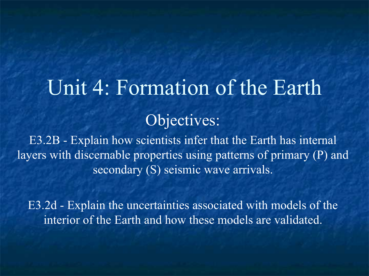# Unit 4: Formation of the Earth Objectives:

E3.2B - Explain how scientists infer that the Earth has internal layers with discernable properties using patterns of primary (P) and secondary (S) seismic wave arrivals.

E3.2d - Explain the uncertainties associated with models of the interior of the Earth and how these models are validated.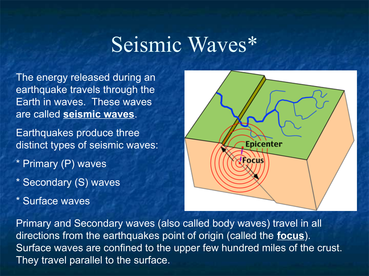# Seismic Waves\*

The energy released during an earthquake travels through the Earth in waves. These waves are called **seismic waves**.

Earthquakes produce three distinct types of seismic waves:

- \* Primary (P) waves
- \* Secondary (S) waves
- \* Surface waves



Primary and Secondary waves (also called body waves) travel in all directions from the earthquakes point of origin (called the **focus**). Surface waves are confined to the upper few hundred miles of the crust. They travel parallel to the surface.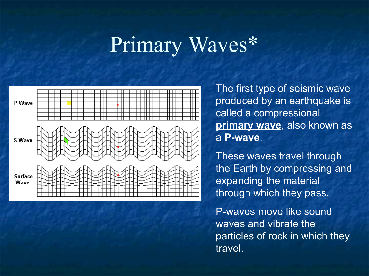# Primary Waves\*



The first type of seismic wave produced by an earthquake is called a compressional **primary wave**, also known as a **P-wave**.

These waves travel through the Earth by compressing and expanding the material through which they pass.

P-waves move like sound waves and vibrate the particles of rock in which they travel.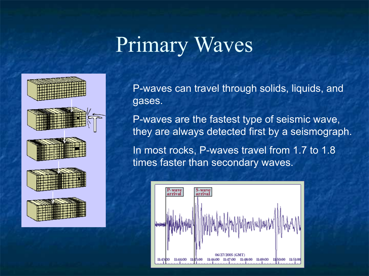# Primary Waves



P-waves can travel through solids, liquids, and gases.

P-waves are the fastest type of seismic wave, they are always detected first by a seismograph.

In most rocks, P-waves travel from 1.7 to 1.8 times faster than secondary waves.

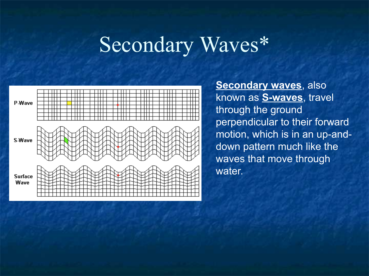# Secondary Waves\*



**Secondary waves**, also known as **S-waves**, travel through the ground perpendicular to their forward motion, which is in an up-anddown pattern much like the waves that move through water.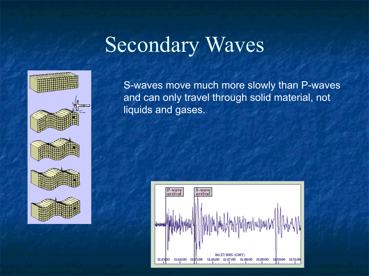# Secondary Waves



S-waves move much more slowly than P-waves and can only travel through solid material, not liquids and gases.

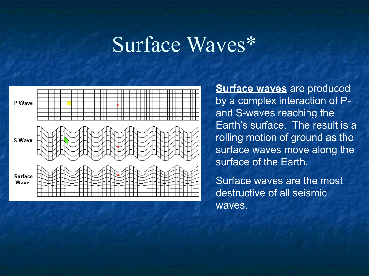#### Surface Waves\*



**Surface waves** are produced by a complex interaction of Pand S-waves reaching the Earth's surface. The result is a rolling motion of ground as the surface waves move along the surface of the Earth.

Surface waves are the most destructive of all seismic waves.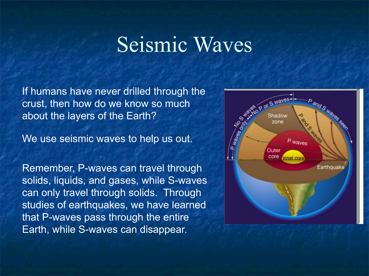### Seismic Waves

If humans have never drilled through the crust, then how do we know so much about the layers of the Earth?

We use seismic waves to help us out.

Remember, P-waves can travel through solids, liquids, and gases, while S-waves can only travel through solids. Through studies of earthquakes, we have learned that P-waves pass through the entire Earth, while S-waves can disappear.

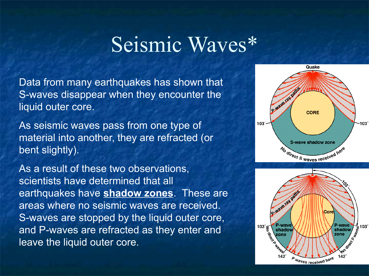### Seismic Waves\*

Data from many earthquakes has shown that S-waves disappear when they encounter the liquid outer core.

As seismic waves pass from one type of material into another, they are refracted (or bent slightly).

As a result of these two observations, scientists have determined that all earthquakes have **shadow zones**. These are areas where no seismic waves are received. S-waves are stopped by the liquid outer core, and P-waves are refracted as they enter and leave the liquid outer core.



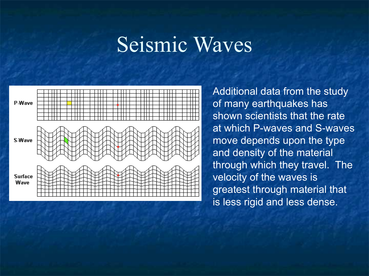# Seismic Waves



Additional data from the study of many earthquakes has shown scientists that the rate at which P-waves and S-waves move depends upon the type and density of the material through which they travel. The velocity of the waves is greatest through material that is less rigid and less dense.